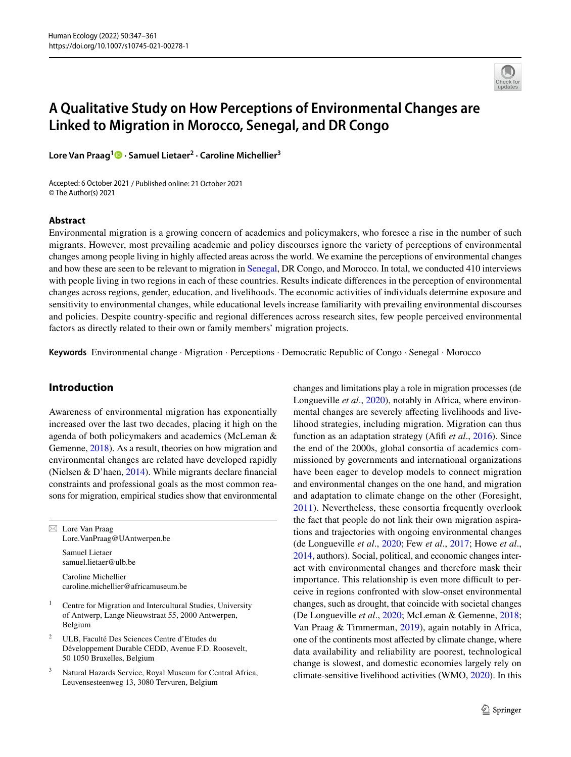

# **A Qualitative Study on How Perceptions of Environmental Changes are Linked to Migration in Morocco, Senegal, and DR Congo**

**Lore Van Praag1  [·](http://orcid.org/0000-0003-2861-7523) Samuel Lietaer2 · Caroline Michellier3**

Accepted: 6 October 2021 / Published online: 21 October 2021 © The Author(s) 2021

#### **Abstract**

Environmental migration is a growing concern of academics and policymakers, who foresee a rise in the number of such migrants. However, most prevailing academic and policy discourses ignore the variety of perceptions of environmental changes among people living in highly afected areas across the world. We examine the perceptions of environmental changes and how these are seen to be relevant to migration in [Senegal](#page-6-0), DR Congo, and Morocco. In total, we conducted 410 interviews with people living in two regions in each of these countries. Results indicate diferences in the perception of environmental changes across regions, gender, education, and livelihoods. The economic activities of individuals determine exposure and sensitivity to environmental changes, while educational levels increase familiarity with prevailing environmental discourses and policies. Despite country-specifc and regional diferences across research sites, few people perceived environmental factors as directly related to their own or family members' migration projects.

**Keywords** Environmental change · Migration · Perceptions · Democratic Republic of Congo · Senegal · Morocco

# **Introduction**

Awareness of environmental migration has exponentially increased over the last two decades, placing it high on the agenda of both policymakers and academics (McLeman & Gemenne, [2018\)](#page-13-0). As a result, theories on how migration and environmental changes are related have developed rapidly (Nielsen & D'haen, [2014](#page-13-1)). While migrants declare fnancial constraints and professional goals as the most common reasons for migration, empirical studies show that environmental

 $\boxtimes$  Lore Van Praag Lore.VanPraag@UAntwerpen.be Samuel Lietaer samuel.lietaer@ulb.be

Caroline Michellier caroline.michellier@africamuseum.be

- <sup>1</sup> Centre for Migration and Intercultural Studies, University of Antwerp, Lange Nieuwstraat 55, 2000 Antwerpen, Belgium
- <sup>2</sup> ULB, Faculté Des Sciences Centre d'Etudes du Développement Durable CEDD, Avenue F.D. Roosevelt, 50 1050 Bruxelles, Belgium
- <sup>3</sup> Natural Hazards Service, Royal Museum for Central Africa, Leuvensesteenweg 13, 3080 Tervuren, Belgium

changes and limitations play a role in migration processes (de Longueville *et al.*, [2020\)](#page-12-0), notably in Africa, where environmental changes are severely affecting livelihoods and livelihood strategies, including migration. Migration can thus function as an adaptation strategy (Afifi *et al.*, [2016\)](#page-12-1). Since the end of the 2000s, global consortia of academics commissioned by governments and international organizations have been eager to develop models to connect migration and environmental changes on the one hand, and migration and adaptation to climate change on the other (Foresight, [2011\)](#page-12-2). Nevertheless, these consortia frequently overlook the fact that people do not link their own migration aspirations and trajectories with ongoing environmental changes (de Longueville *et al*., [2020;](#page-12-0) Few *et al*., [2017;](#page-12-3) Howe *et al*., [2014,](#page-13-2) authors). Social, political, and economic changes interact with environmental changes and therefore mask their importance. This relationship is even more difficult to perceive in regions confronted with slow-onset environmental changes, such as drought, that coincide with societal changes (De Longueville *et al*., [2020](#page-12-0); McLeman & Gemenne, [2018](#page-13-0); Van Praag & Timmerman, [2019\)](#page-14-0), again notably in Africa, one of the continents most afected by climate change, where data availability and reliability are poorest, technological change is slowest, and domestic economies largely rely on climate-sensitive livelihood activities (WMO, [2020\)](#page-14-1). In this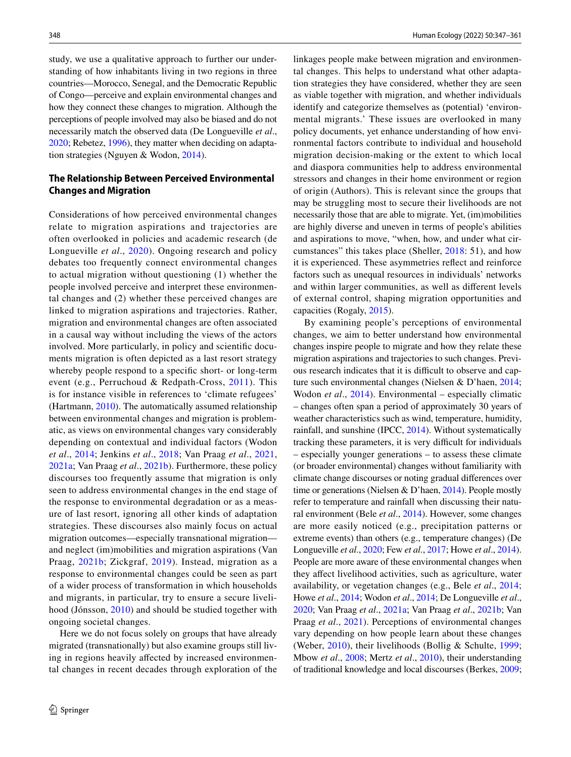study, we use a qualitative approach to further our understanding of how inhabitants living in two regions in three countries—Morocco, Senegal, and the Democratic Republic of Congo—perceive and explain environmental changes and how they connect these changes to migration. Although the perceptions of people involved may also be biased and do not necessarily match the observed data (De Longueville *et al*., [2020;](#page-12-0) Rebetez, [1996](#page-13-3)), they matter when deciding on adaptation strategies (Nguyen & Wodon, [2014\)](#page-13-4).

# **The Relationship Between Perceived Environmental Changes and Migration**

Considerations of how perceived environmental changes relate to migration aspirations and trajectories are often overlooked in policies and academic research (de Longueville *et al*., [2020](#page-12-0)). Ongoing research and policy debates too frequently connect environmental changes to actual migration without questioning (1) whether the people involved perceive and interpret these environmental changes and (2) whether these perceived changes are linked to migration aspirations and trajectories. Rather, migration and environmental changes are often associated in a causal way without including the views of the actors involved. More particularly, in policy and scientifc documents migration is often depicted as a last resort strategy whereby people respond to a specifc short- or long-term event (e.g., Perruchoud & Redpath-Cross, [2011](#page-13-5)). This is for instance visible in references to 'climate refugees' (Hartmann, [2010](#page-12-4)). The automatically assumed relationship between environmental changes and migration is problematic, as views on environmental changes vary considerably depending on contextual and individual factors (Wodon *et al*., [2014;](#page-14-2) Jenkins *et al*., [2018;](#page-13-6) Van Praag *et al*., [2021,](#page-14-3) [2021a;](#page-13-7) Van Praag *et al*., [2021b\)](#page-14-4). Furthermore, these policy discourses too frequently assume that migration is only seen to address environmental changes in the end stage of the response to environmental degradation or as a measure of last resort, ignoring all other kinds of adaptation strategies. These discourses also mainly focus on actual migration outcomes—especially transnational migration and neglect (im)mobilities and migration aspirations (Van Praag, [2021b](#page-14-4); Zickgraf, [2019](#page-14-5)). Instead, migration as a response to environmental changes could be seen as part of a wider process of transformation in which households and migrants, in particular, try to ensure a secure livelihood (Jónsson, [2010](#page-13-8)) and should be studied together with ongoing societal changes.

Here we do not focus solely on groups that have already migrated (transnationally) but also examine groups still living in regions heavily afected by increased environmental changes in recent decades through exploration of the linkages people make between migration and environmental changes. This helps to understand what other adaptation strategies they have considered, whether they are seen as viable together with migration, and whether individuals identify and categorize themselves as (potential) 'environmental migrants.' These issues are overlooked in many policy documents, yet enhance understanding of how environmental factors contribute to individual and household migration decision-making or the extent to which local and diaspora communities help to address environmental stressors and changes in their home environment or region of origin (Authors). This is relevant since the groups that may be struggling most to secure their livelihoods are not necessarily those that are able to migrate. Yet, (im)mobilities are highly diverse and uneven in terms of people's abilities and aspirations to move, "when, how, and under what circumstances" this takes place (Sheller, [2018:](#page-13-9) 51), and how it is experienced. These asymmetries refect and reinforce factors such as unequal resources in individuals' networks and within larger communities, as well as diferent levels of external control, shaping migration opportunities and capacities (Rogaly, [2015](#page-13-10)).

By examining people's perceptions of environmental changes, we aim to better understand how environmental changes inspire people to migrate and how they relate these migration aspirations and trajectories to such changes. Previous research indicates that it is difficult to observe and capture such environmental changes (Nielsen & D'haen, [2014](#page-13-1); Wodon *et al.*, [2014\)](#page-14-2). Environmental – especially climatic – changes often span a period of approximately 30 years of weather characteristics such as wind, temperature, humidity, rainfall, and sunshine (IPCC, [2014](#page-13-11)). Without systematically tracking these parameters, it is very difficult for individuals – especially younger generations – to assess these climate (or broader environmental) changes without familiarity with climate change discourses or noting gradual diferences over time or generations (Nielsen & D'haen, [2014](#page-13-1)). People mostly refer to temperature and rainfall when discussing their natural environment (Bele *et al*., [2014](#page-12-5)). However, some changes are more easily noticed (e.g., precipitation patterns or extreme events) than others (e.g., temperature changes) (De Longueville *et al*., [2020](#page-12-0); Few *et al*., [2017](#page-12-3); Howe *et al*., [2014\)](#page-13-2). People are more aware of these environmental changes when they afect livelihood activities, such as agriculture, water availability, or vegetation changes (e.g., Bele *et al*., [2014](#page-12-5); Howe *et al*., [2014](#page-13-2); Wodon *et al*., [2014](#page-14-2); De Longueville *et al*., [2020](#page-12-0); Van Praag *et al*., [2021a](#page-13-7); Van Praag *et al*., [2021b](#page-14-4); Van Praag *et al*., [2021](#page-14-3)). Perceptions of environmental changes vary depending on how people learn about these changes (Weber, [2010](#page-14-6)), their livelihoods (Bollig & Schulte, [1999](#page-12-6); Mbow *et al*., [2008](#page-13-12); Mertz *et al*., [2010\)](#page-13-13), their understanding of traditional knowledge and local discourses (Berkes, [2009](#page-12-7);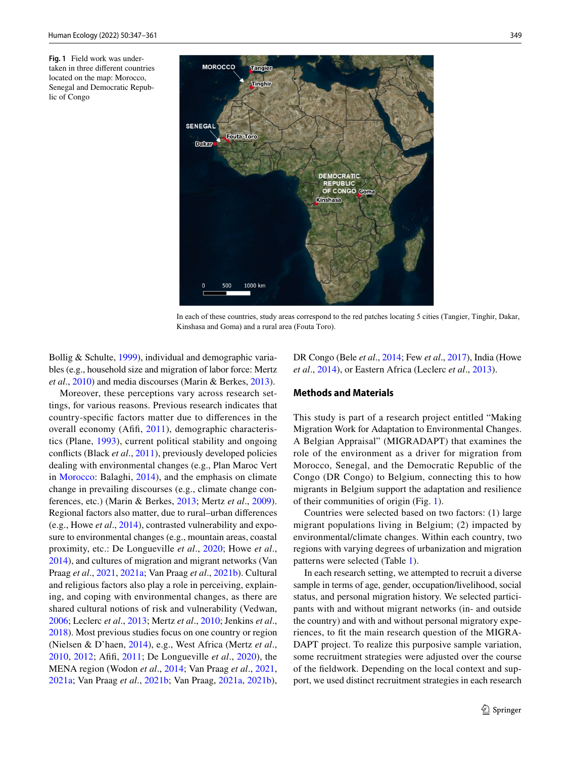<span id="page-2-0"></span>**Fig. 1** Field work was undertaken in three diferent countries located on the map: Morocco, Senegal and Democratic Republic of Congo



In each of these countries, study areas correspond to the red patches locating 5 cities (Tangier, Tinghir, Dakar, Kinshasa and Goma) and a rural area (Fouta Toro).

Bollig & Schulte, [1999](#page-12-6)), individual and demographic variables (e.g., household size and migration of labor force: Mertz *et al*., [2010\)](#page-13-13) and media discourses (Marin & Berkes, [2013](#page-13-14)).

Moreover, these perceptions vary across research settings, for various reasons. Previous research indicates that country-specifc factors matter due to diferences in the overall economy (Afifi, [2011](#page-12-8)), demographic characteristics (Plane, [1993](#page-13-15)), current political stability and ongoing conficts (Black *et al*., [2011\)](#page-12-9), previously developed policies dealing with environmental changes (e.g., Plan Maroc Vert in [Morocco:](#page-5-0) Balaghi, [2014\)](#page-12-10), and the emphasis on climate change in prevailing discourses (e.g., climate change conferences, etc.) (Marin & Berkes, [2013;](#page-13-14) Mertz *et al*., [2009](#page-13-16)). Regional factors also matter, due to rural–urban diferences (e.g., Howe *et al*., [2014](#page-13-2)), contrasted vulnerability and exposure to environmental changes (e.g., mountain areas, coastal proximity, etc.: De Longueville *et al*., [2020](#page-12-0); Howe *et al*., [2014](#page-13-2)), and cultures of migration and migrant networks (Van Praag *et al*., [2021,](#page-14-3) [2021a](#page-13-7); Van Praag *et al*., [2021b](#page-14-4)). Cultural and religious factors also play a role in perceiving, explaining, and coping with environmental changes, as there are shared cultural notions of risk and vulnerability (Vedwan, [2006](#page-14-7); Leclerc *et al*., [2013](#page-13-17); Mertz *et al*., [2010;](#page-13-13) Jenkins *et al*., [2018\)](#page-13-6). Most previous studies focus on one country or region (Nielsen & D'haen, [2014\)](#page-13-1), e.g., West Africa (Mertz *et al*., [2010,](#page-13-13) [2012](#page-13-18); Aff, [2011;](#page-12-8) De Longueville *et al*., [2020\)](#page-12-0), the MENA region (Wodon *et al*., [2014;](#page-14-2) Van Praag *et al*., [2021,](#page-14-3) [2021a;](#page-13-7) Van Praag *et al*., [2021b;](#page-14-4) Van Praag, [2021a,](#page-13-7) [2021b](#page-14-4)),

DR Congo (Bele *et al*., [2014;](#page-12-5) Few *et al*., [2017\)](#page-12-3), India (Howe *et al*., [2014](#page-13-2)), or Eastern Africa (Leclerc *et al*., [2013](#page-13-17)).

#### **Methods and Materials**

This study is part of a research project entitled "Making Migration Work for Adaptation to Environmental Changes. A Belgian Appraisal" (MIGRADAPT) that examines the role of the environment as a driver for migration from Morocco, Senegal, and the Democratic Republic of the Congo (DR Congo) to Belgium, connecting this to how migrants in Belgium support the adaptation and resilience of their communities of origin (Fig. [1](#page-2-0)).

Countries were selected based on two factors: (1) large migrant populations living in Belgium; (2) impacted by environmental/climate changes. Within each country, two regions with varying degrees of urbanization and migration patterns were selected (Table [1](#page-3-0)).

In each research setting, we attempted to recruit a diverse sample in terms of age, gender, occupation/livelihood, social status, and personal migration history. We selected participants with and without migrant networks (in- and outside the country) and with and without personal migratory experiences, to ft the main research question of the MIGRA-DAPT project. To realize this purposive sample variation, some recruitment strategies were adjusted over the course of the feldwork. Depending on the local context and support, we used distinct recruitment strategies in each research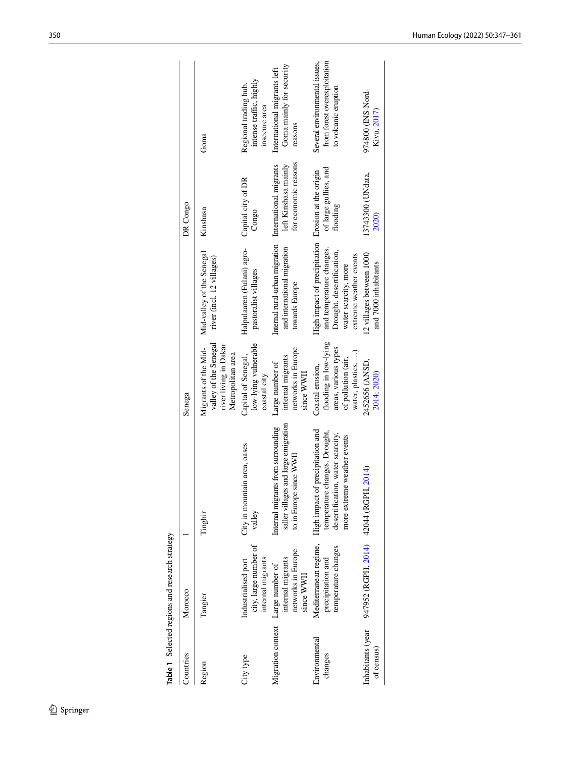|                                   | Table 1 Selected regions and research strategy                    |                                                                                                                                         |                                                                                                               |                                                                                                                                                               |                                                                        |                                                                                       |
|-----------------------------------|-------------------------------------------------------------------|-----------------------------------------------------------------------------------------------------------------------------------------|---------------------------------------------------------------------------------------------------------------|---------------------------------------------------------------------------------------------------------------------------------------------------------------|------------------------------------------------------------------------|---------------------------------------------------------------------------------------|
| Countries                         | Morocco                                                           |                                                                                                                                         | Senega                                                                                                        |                                                                                                                                                               | DR Congo                                                               |                                                                                       |
| Region                            | Tangier                                                           | Tinghir                                                                                                                                 | valley of the Senegal<br>river living in Dakar<br>Migrants of the Mid-<br>Metropolitan area                   | Mid-valley of the Senegal<br>river (incl. 12 villages)                                                                                                        | Kinshasa                                                               | Goma                                                                                  |
| City type                         | city, large number of<br>internal migrants<br>Industrialised port | City in mountain area, oases<br>valley                                                                                                  | low-lying vulnerable<br>Capital of Senegal,<br>coastal city                                                   | Halpulaaren (Fulani) agro-<br>pastoralist villages                                                                                                            | Capital city of DR<br>Congo                                            | intense traffic, highly<br>Regional trading hub,<br>insecure area                     |
| Migration context Large number of | networks in Europe<br>internal migrants<br>since WWII             | saller villages and large emigration<br>Internal migrants from surrounding<br>to in Europe since WWI                                    | networks in Europe<br>internal migrants<br>Large number of<br>since WWII                                      | Internal rural-urban migration<br>and international migration<br>towards Europe                                                                               | for economic reasons<br>left Kinshasa mainly<br>International migrants | Goma mainly for security<br>International migrants left<br>reasons                    |
| Environmental<br>changes          | Mediterranean regime,<br>temperature changes<br>precipitation and | precipitation and<br>temperature changes. Drought,<br>desertification, water scarcity,<br>more extreme weather events<br>High impact of | flooding in low-lying<br>areas, various types<br>water, plastics, )<br>of pollution (air,<br>Coastal erosion, | High impact of precipitation Erosion at the origin<br>and temperature changes.<br>Drought, desertification,<br>extreme weather events<br>water scarcity, more | of large gullies, and<br>flooding                                      | Several environmental issues,<br>from forest overexploitation<br>to volcanic eruption |
| Inhabitants (year<br>of census)   | 947952 (RGPH, 2014) 42044 (RGPH,                                  | 2014)                                                                                                                                   | 2452656 (ANSD,<br>2014; 2020)                                                                                 | 12 villages between 1000<br>and 7000 inhabitants                                                                                                              | 13743300 (UNdata,<br>2020)                                             | 974800 (INS-Nord-<br>Kivu, 2017)                                                      |
|                                   |                                                                   |                                                                                                                                         |                                                                                                               |                                                                                                                                                               |                                                                        |                                                                                       |

<span id="page-3-0"></span>र्नु  $\frac{1}{2}$  $\ddot{\phantom{a}}$ J.  $\frac{1}{2}$  $\ddot{\phantom{0}}$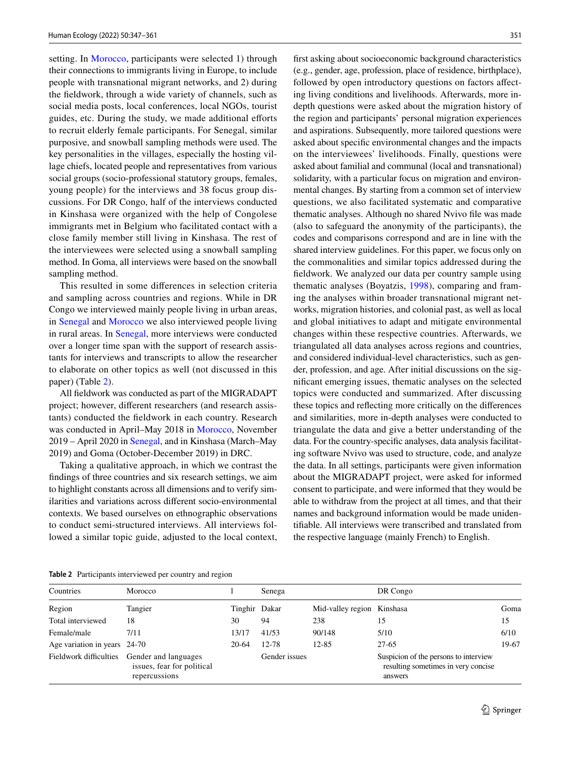setting. In [Morocco,](#page-5-0) participants were selected 1) through their connections to immigrants living in Europe, to include people with transnational migrant networks, and 2) during the feldwork, through a wide variety of channels, such as social media posts, local conferences, local NGOs, tourist guides, etc. During the study, we made additional efforts to recruit elderly female participants. For Senegal, similar purposive, and snowball sampling methods were used. The key personalities in the villages, especially the hosting village chiefs, located people and representatives from various social groups (socio-professional statutory groups, females, young people) for the interviews and 38 focus group discussions. For DR Congo, half of the interviews conducted in Kinshasa were organized with the help of Congolese immigrants met in Belgium who facilitated contact with a close family member still living in Kinshasa. The rest of the interviewees were selected using a snowball sampling method. In Goma, all interviews were based on the snowball sampling method.

This resulted in some diferences in selection criteria and sampling across countries and regions. While in DR Congo we interviewed mainly people living in urban areas, in [Senegal](#page-6-0) and [Morocco](#page-5-0) we also interviewed people living in rural areas. In [Senegal](#page-6-0), more interviews were conducted over a longer time span with the support of research assistants for interviews and transcripts to allow the researcher to elaborate on other topics as well (not discussed in this paper) (Table [2\)](#page-4-0).

All feldwork was conducted as part of the MIGRADAPT project; however, diferent researchers (and research assistants) conducted the feldwork in each country. Research was conducted in April–May 2018 in [Morocco,](#page-5-0) November 2019 – April 2020 in [Senegal](#page-6-0), and in Kinshasa (March–May 2019) and Goma (October-December 2019) in DRC.

Taking a qualitative approach, in which we contrast the fndings of three countries and six research settings, we aim to highlight constants across all dimensions and to verify similarities and variations across diferent socio-environmental contexts. We based ourselves on ethnographic observations to conduct semi-structured interviews. All interviews followed a similar topic guide, adjusted to the local context, frst asking about socioeconomic background characteristics (e.g., gender, age, profession, place of residence, birthplace), followed by open introductory questions on factors afecting living conditions and livelihoods. Afterwards, more indepth questions were asked about the migration history of the region and participants' personal migration experiences and aspirations. Subsequently, more tailored questions were asked about specifc environmental changes and the impacts on the interviewees' livelihoods. Finally, questions were asked about familial and communal (local and transnational) solidarity, with a particular focus on migration and environmental changes. By starting from a common set of interview questions, we also facilitated systematic and comparative thematic analyses. Although no shared Nvivo fle was made (also to safeguard the anonymity of the participants), the codes and comparisons correspond and are in line with the shared interview guidelines. For this paper, we focus only on the commonalities and similar topics addressed during the feldwork. We analyzed our data per country sample using thematic analyses (Boyatzis, [1998](#page-12-13)), comparing and framing the analyses within broader transnational migrant networks, migration histories, and colonial past, as well as local and global initiatives to adapt and mitigate environmental changes within these respective countries. Afterwards, we triangulated all data analyses across regions and countries, and considered individual-level characteristics, such as gender, profession, and age. After initial discussions on the signifcant emerging issues, thematic analyses on the selected topics were conducted and summarized. After discussing these topics and refecting more critically on the diferences and similarities, more in-depth analyses were conducted to triangulate the data and give a better understanding of the data. For the country-specifc analyses, data analysis facilitating software Nvivo was used to structure, code, and analyze the data. In all settings, participants were given information about the MIGRADAPT project, were asked for informed consent to participate, and were informed that they would be able to withdraw from the project at all times, and that their names and background information would be made unidentifable. All interviews were transcribed and translated from the respective language (mainly French) to English.

<span id="page-4-0"></span>**Table 2** Participants interviewed per country and region

| Countries                    | Morocco                                                                                    |               | Senega        |                            | DR Congo                                                                                |       |
|------------------------------|--------------------------------------------------------------------------------------------|---------------|---------------|----------------------------|-----------------------------------------------------------------------------------------|-------|
| Region                       | Tangier                                                                                    | Tinghir Dakar |               | Mid-valley region Kinshasa |                                                                                         | Goma  |
| Total interviewed            | 18                                                                                         | 30            | 94            | 238                        | 15                                                                                      | 15    |
| Female/male                  | 7/11                                                                                       | 13/17         | 41/53         | 90/148                     | 5/10                                                                                    | 6/10  |
| Age variation in years 24-70 |                                                                                            | 20-64         | 12-78         | $12 - 85$                  | 27-65                                                                                   | 19-67 |
|                              | Fieldwork difficulties Gender and languages<br>issues, fear for political<br>repercussions |               | Gender issues |                            | Suspicion of the persons to interview<br>resulting sometimes in very concise<br>answers |       |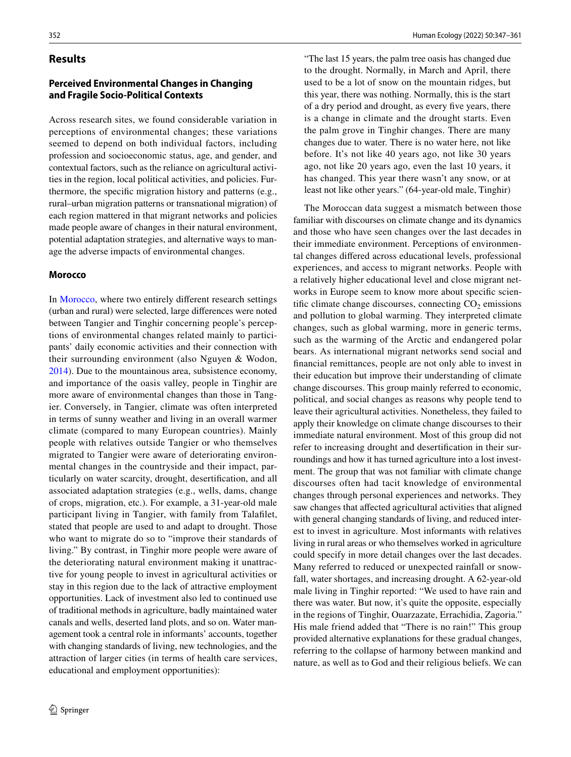#### **Results**

# **Perceived Environmental Changes in Changing and Fragile Socio‑Political Contexts**

Across research sites, we found considerable variation in perceptions of environmental changes; these variations seemed to depend on both individual factors, including profession and socioeconomic status, age, and gender, and contextual factors, such as the reliance on agricultural activities in the region, local political activities, and policies. Furthermore, the specifc migration history and patterns (e.g., rural–urban migration patterns or transnational migration) of each region mattered in that migrant networks and policies made people aware of changes in their natural environment, potential adaptation strategies, and alternative ways to manage the adverse impacts of environmental changes.

#### <span id="page-5-0"></span>**Morocco**

In [Morocco](#page-5-0), where two entirely diferent research settings (urban and rural) were selected, large diferences were noted between Tangier and Tinghir concerning people's perceptions of environmental changes related mainly to participants' daily economic activities and their connection with their surrounding environment (also Nguyen & Wodon, [2014](#page-13-4)). Due to the mountainous area, subsistence economy, and importance of the oasis valley, people in Tinghir are more aware of environmental changes than those in Tangier. Conversely, in Tangier, climate was often interpreted in terms of sunny weather and living in an overall warmer climate (compared to many European countries). Mainly people with relatives outside Tangier or who themselves migrated to Tangier were aware of deteriorating environmental changes in the countryside and their impact, particularly on water scarcity, drought, desertifcation, and all associated adaptation strategies (e.g., wells, dams, change of crops, migration, etc.). For example, a 31-year-old male participant living in Tangier, with family from Talaflet, stated that people are used to and adapt to drought. Those who want to migrate do so to "improve their standards of living." By contrast, in Tinghir more people were aware of the deteriorating natural environment making it unattractive for young people to invest in agricultural activities or stay in this region due to the lack of attractive employment opportunities. Lack of investment also led to continued use of traditional methods in agriculture, badly maintained water canals and wells, deserted land plots, and so on. Water management took a central role in informants' accounts, together with changing standards of living, new technologies, and the attraction of larger cities (in terms of health care services, educational and employment opportunities):

"The last 15 years, the palm tree oasis has changed due to the drought. Normally, in March and April, there used to be a lot of snow on the mountain ridges, but this year, there was nothing. Normally, this is the start of a dry period and drought, as every fve years, there is a change in climate and the drought starts. Even the palm grove in Tinghir changes. There are many changes due to water. There is no water here, not like before. It's not like 40 years ago, not like 30 years ago, not like 20 years ago, even the last 10 years, it has changed. This year there wasn't any snow, or at least not like other years." (64-year-old male, Tinghir)

The Moroccan data suggest a mismatch between those familiar with discourses on climate change and its dynamics and those who have seen changes over the last decades in their immediate environment. Perceptions of environmental changes difered across educational levels, professional experiences, and access to migrant networks. People with a relatively higher educational level and close migrant networks in Europe seem to know more about specifc scientific climate change discourses, connecting  $CO<sub>2</sub>$  emissions and pollution to global warming. They interpreted climate changes, such as global warming, more in generic terms, such as the warming of the Arctic and endangered polar bears. As international migrant networks send social and fnancial remittances, people are not only able to invest in their education but improve their understanding of climate change discourses. This group mainly referred to economic, political, and social changes as reasons why people tend to leave their agricultural activities. Nonetheless, they failed to apply their knowledge on climate change discourses to their immediate natural environment. Most of this group did not refer to increasing drought and desertifcation in their surroundings and how it has turned agriculture into a lost investment. The group that was not familiar with climate change discourses often had tacit knowledge of environmental changes through personal experiences and networks. They saw changes that afected agricultural activities that aligned with general changing standards of living, and reduced interest to invest in agriculture. Most informants with relatives living in rural areas or who themselves worked in agriculture could specify in more detail changes over the last decades. Many referred to reduced or unexpected rainfall or snowfall, water shortages, and increasing drought. A 62-year-old male living in Tinghir reported: "We used to have rain and there was water. But now, it's quite the opposite, especially in the regions of Tinghir, Ouarzazate, Errachidia, Zagoria." His male friend added that "There is no rain!" This group provided alternative explanations for these gradual changes, referring to the collapse of harmony between mankind and nature, as well as to God and their religious beliefs. We can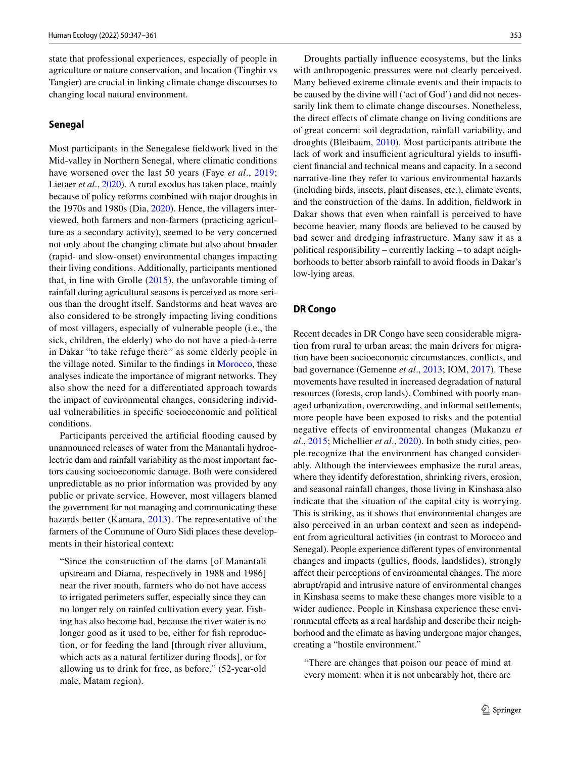state that professional experiences, especially of people in agriculture or nature conservation, and location (Tinghir vs Tangier) are crucial in linking climate change discourses to changing local natural environment.

#### <span id="page-6-0"></span>**Senegal**

Most participants in the Senegalese feldwork lived in the Mid-valley in Northern Senegal, where climatic conditions have worsened over the last 50 years (Faye *et al*., [2019](#page-12-14); Lietaer *et al*., [2020](#page-13-22)). A rural exodus has taken place, mainly because of policy reforms combined with major droughts in the 1970s and 1980s (Dia, [2020\)](#page-12-15). Hence, the villagers interviewed, both farmers and non-farmers (practicing agriculture as a secondary activity), seemed to be very concerned not only about the changing climate but also about broader (rapid- and slow-onset) environmental changes impacting their living conditions. Additionally, participants mentioned that, in line with Grolle ([2015](#page-12-16)), the unfavorable timing of rainfall during agricultural seasons is perceived as more serious than the drought itself. Sandstorms and heat waves are also considered to be strongly impacting living conditions of most villagers, especially of vulnerable people (i.e., the sick, children, the elderly) who do not have a pied-à-terre in Dakar "to take refuge there*"* as some elderly people in the village noted. Similar to the fndings in [Morocco](#page-5-0), these analyses indicate the importance of migrant networks. They also show the need for a diferentiated approach towards the impact of environmental changes, considering individual vulnerabilities in specifc socioeconomic and political conditions.

Participants perceived the artifcial fooding caused by unannounced releases of water from the Manantali hydroelectric dam and rainfall variability as the most important factors causing socioeconomic damage. Both were considered unpredictable as no prior information was provided by any public or private service. However, most villagers blamed the government for not managing and communicating these hazards better (Kamara, [2013\)](#page-13-23). The representative of the farmers of the Commune of Ouro Sidi places these developments in their historical context:

"Since the construction of the dams [of Manantali upstream and Diama, respectively in 1988 and 1986] near the river mouth, farmers who do not have access to irrigated perimeters suffer, especially since they can no longer rely on rainfed cultivation every year. Fishing has also become bad, because the river water is no longer good as it used to be, either for fish reproduction, or for feeding the land [through river alluvium, which acts as a natural fertilizer during floods], or for allowing us to drink for free, as before." (52-year-old male, Matam region).

Droughts partially infuence ecosystems, but the links with anthropogenic pressures were not clearly perceived. Many believed extreme climate events and their impacts to be caused by the divine will ('act of God') and did not necessarily link them to climate change discourses. Nonetheless, the direct efects of climate change on living conditions are of great concern: soil degradation, rainfall variability, and droughts (Bleibaum, [2010\)](#page-12-17). Most participants attribute the lack of work and insufficient agricultural yields to insufficient fnancial and technical means and capacity. In a second narrative-line they refer to various environmental hazards (including birds, insects, plant diseases, etc.), climate events, and the construction of the dams. In addition, feldwork in Dakar shows that even when rainfall is perceived to have become heavier, many foods are believed to be caused by bad sewer and dredging infrastructure. Many saw it as a political responsibility – currently lacking – to adapt neighborhoods to better absorb rainfall to avoid floods in Dakar's low-lying areas.

#### **DR Congo**

Recent decades in DR Congo have seen considerable migration from rural to urban areas; the main drivers for migration have been socioeconomic circumstances, conficts, and bad governance (Gemenne *et al*., [2013;](#page-12-18) IOM, [2017\)](#page-13-24). These movements have resulted in increased degradation of natural resources (forests, crop lands). Combined with poorly managed urbanization, overcrowding, and informal settlements, more people have been exposed to risks and the potential negative effects of environmental changes (Makanzu *et al*., [2015;](#page-13-25) Michellier *et al*., [2020](#page-13-26)). In both study cities, people recognize that the environment has changed considerably. Although the interviewees emphasize the rural areas, where they identify deforestation, shrinking rivers, erosion, and seasonal rainfall changes, those living in Kinshasa also indicate that the situation of the capital city is worrying. This is striking, as it shows that environmental changes are also perceived in an urban context and seen as independent from agricultural activities (in contrast to Morocco and Senegal). People experience diferent types of environmental changes and impacts (gullies, foods, landslides), strongly afect their perceptions of environmental changes. The more abrupt/rapid and intrusive nature of environmental changes in Kinshasa seems to make these changes more visible to a wider audience. People in Kinshasa experience these environmental efects as a real hardship and describe their neighborhood and the climate as having undergone major changes, creating a "hostile environment."

"There are changes that poison our peace of mind at every moment: when it is not unbearably hot, there are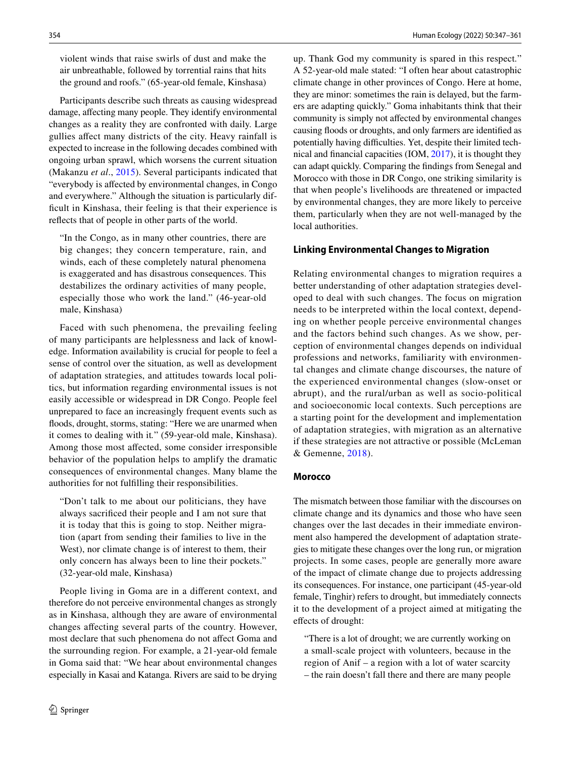violent winds that raise swirls of dust and make the air unbreathable, followed by torrential rains that hits the ground and roofs." (65-year-old female, Kinshasa)

Participants describe such threats as causing widespread damage, affecting many people. They identify environmental changes as a reality they are confronted with daily. Large gullies afect many districts of the city. Heavy rainfall is expected to increase in the following decades combined with ongoing urban sprawl, which worsens the current situation (Makanzu *et al*., [2015](#page-13-25)). Several participants indicated that "everybody is afected by environmental changes, in Congo and everywhere." Although the situation is particularly difficult in Kinshasa, their feeling is that their experience is refects that of people in other parts of the world.

"In the Congo, as in many other countries, there are big changes; they concern temperature, rain, and winds, each of these completely natural phenomena is exaggerated and has disastrous consequences. This destabilizes the ordinary activities of many people, especially those who work the land." (46-year-old male, Kinshasa)

Faced with such phenomena, the prevailing feeling of many participants are helplessness and lack of knowledge. Information availability is crucial for people to feel a sense of control over the situation, as well as development of adaptation strategies, and attitudes towards local politics, but information regarding environmental issues is not easily accessible or widespread in DR Congo. People feel unprepared to face an increasingly frequent events such as foods, drought, storms, stating: "Here we are unarmed when it comes to dealing with it*.*" (59-year-old male, Kinshasa). Among those most afected, some consider irresponsible behavior of the population helps to amplify the dramatic consequences of environmental changes. Many blame the authorities for not fulflling their responsibilities.

"Don't talk to me about our politicians, they have always sacrifced their people and I am not sure that it is today that this is going to stop. Neither migration (apart from sending their families to live in the West), nor climate change is of interest to them, their only concern has always been to line their pockets." (32-year-old male, Kinshasa)

People living in Goma are in a diferent context, and therefore do not perceive environmental changes as strongly as in Kinshasa, although they are aware of environmental changes afecting several parts of the country. However, most declare that such phenomena do not afect Goma and the surrounding region. For example, a 21-year-old female in Goma said that: "We hear about environmental changes especially in Kasai and Katanga. Rivers are said to be drying up. Thank God my community is spared in this respect*.*" A 52-year-old male stated: "I often hear about catastrophic climate change in other provinces of Congo. Here at home, they are minor: sometimes the rain is delayed, but the farmers are adapting quickly." Goma inhabitants think that their community is simply not afected by environmental changes causing foods or droughts, and only farmers are identifed as potentially having difficulties. Yet, despite their limited technical and fnancial capacities (IOM, [2017\)](#page-13-24), it is thought they can adapt quickly. Comparing the fndings from Senegal and Morocco with those in DR Congo, one striking similarity is that when people's livelihoods are threatened or impacted by environmental changes, they are more likely to perceive them, particularly when they are not well-managed by the local authorities.

#### **Linking Environmental Changes to Migration**

Relating environmental changes to migration requires a better understanding of other adaptation strategies developed to deal with such changes. The focus on migration needs to be interpreted within the local context, depending on whether people perceive environmental changes and the factors behind such changes. As we show, perception of environmental changes depends on individual professions and networks, familiarity with environmental changes and climate change discourses, the nature of the experienced environmental changes (slow-onset or abrupt), and the rural/urban as well as socio-political and socioeconomic local contexts. Such perceptions are a starting point for the development and implementation of adaptation strategies, with migration as an alternative if these strategies are not attractive or possible (McLeman & Gemenne, [2018](#page-13-0)).

#### **Morocco**

The mismatch between those familiar with the discourses on climate change and its dynamics and those who have seen changes over the last decades in their immediate environment also hampered the development of adaptation strategies to mitigate these changes over the long run, or migration projects. In some cases, people are generally more aware of the impact of climate change due to projects addressing its consequences. For instance, one participant (45-year-old female, Tinghir) refers to drought, but immediately connects it to the development of a project aimed at mitigating the efects of drought:

"There is a lot of drought; we are currently working on a small-scale project with volunteers, because in the region of Anif – a region with a lot of water scarcity – the rain doesn't fall there and there are many people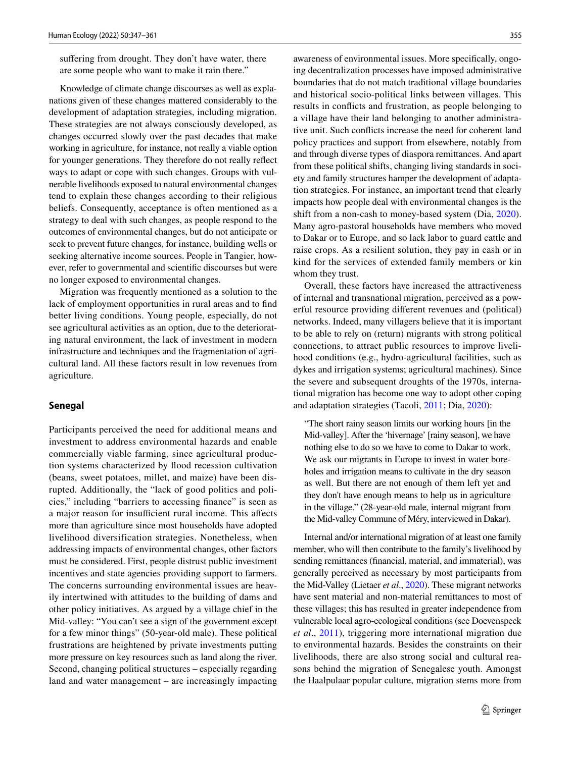suffering from drought. They don't have water, there are some people who want to make it rain there."

Knowledge of climate change discourses as well as explanations given of these changes mattered considerably to the development of adaptation strategies, including migration. These strategies are not always consciously developed, as changes occurred slowly over the past decades that make working in agriculture, for instance, not really a viable option for younger generations. They therefore do not really refect ways to adapt or cope with such changes. Groups with vulnerable livelihoods exposed to natural environmental changes tend to explain these changes according to their religious beliefs. Consequently, acceptance is often mentioned as a strategy to deal with such changes, as people respond to the outcomes of environmental changes, but do not anticipate or seek to prevent future changes, for instance, building wells or seeking alternative income sources. People in Tangier, however, refer to governmental and scientifc discourses but were no longer exposed to environmental changes.

Migration was frequently mentioned as a solution to the lack of employment opportunities in rural areas and to fnd better living conditions. Young people, especially, do not see agricultural activities as an option, due to the deteriorating natural environment, the lack of investment in modern infrastructure and techniques and the fragmentation of agricultural land. All these factors result in low revenues from agriculture.

#### **Senegal**

Participants perceived the need for additional means and investment to address environmental hazards and enable commercially viable farming, since agricultural production systems characterized by flood recession cultivation (beans, sweet potatoes, millet, and maize) have been disrupted. Additionally, the "lack of good politics and policies," including "barriers to accessing fnance" is seen as a major reason for insufficient rural income. This affects more than agriculture since most households have adopted livelihood diversification strategies. Nonetheless, when addressing impacts of environmental changes, other factors must be considered. First, people distrust public investment incentives and state agencies providing support to farmers. The concerns surrounding environmental issues are heavily intertwined with attitudes to the building of dams and other policy initiatives. As argued by a village chief in the Mid-valley: "You can't see a sign of the government except for a few minor things" (50-year-old male). These political frustrations are heightened by private investments putting more pressure on key resources such as land along the river. Second, changing political structures – especially regarding land and water management – are increasingly impacting awareness of environmental issues. More specifcally, ongoing decentralization processes have imposed administrative boundaries that do not match traditional village boundaries and historical socio-political links between villages. This results in conficts and frustration, as people belonging to a village have their land belonging to another administrative unit. Such conficts increase the need for coherent land policy practices and support from elsewhere, notably from and through diverse types of diaspora remittances. And apart from these political shifts, changing living standards in society and family structures hamper the development of adaptation strategies. For instance, an important trend that clearly impacts how people deal with environmental changes is the shift from a non-cash to money-based system (Dia, [2020](#page-12-15)). Many agro-pastoral households have members who moved to Dakar or to Europe, and so lack labor to guard cattle and raise crops. As a resilient solution, they pay in cash or in kind for the services of extended family members or kin whom they trust.

Overall, these factors have increased the attractiveness of internal and transnational migration, perceived as a powerful resource providing diferent revenues and (political) networks. Indeed, many villagers believe that it is important to be able to rely on (return) migrants with strong political connections, to attract public resources to improve livelihood conditions (e.g., hydro-agricultural facilities, such as dykes and irrigation systems; agricultural machines). Since the severe and subsequent droughts of the 1970s, international migration has become one way to adopt other coping and adaptation strategies (Tacoli, [2011](#page-13-27); Dia, [2020](#page-12-15)):

"The short rainy season limits our working hours [in the Mid-valley]. After the 'hivernage' [rainy season], we have nothing else to do so we have to come to Dakar to work. We ask our migrants in Europe to invest in water boreholes and irrigation means to cultivate in the dry season as well. But there are not enough of them left yet and they don't have enough means to help us in agriculture in the village." (28-year-old male, internal migrant from the Mid-valley Commune of Méry, interviewed in Dakar).

Internal and/or international migration of at least one family member, who will then contribute to the family's livelihood by sending remittances (fnancial, material, and immaterial), was generally perceived as necessary by most participants from the Mid-Valley (Lietaer *et al*., [2020\)](#page-13-22). These migrant networks have sent material and non-material remittances to most of these villages; this has resulted in greater independence from vulnerable local agro-ecological conditions (see Doevenspeck *et al*., [2011\)](#page-12-19), triggering more international migration due to environmental hazards. Besides the constraints on their livelihoods, there are also strong social and cultural reasons behind the migration of Senegalese youth. Amongst the Haalpulaar popular culture, migration stems more from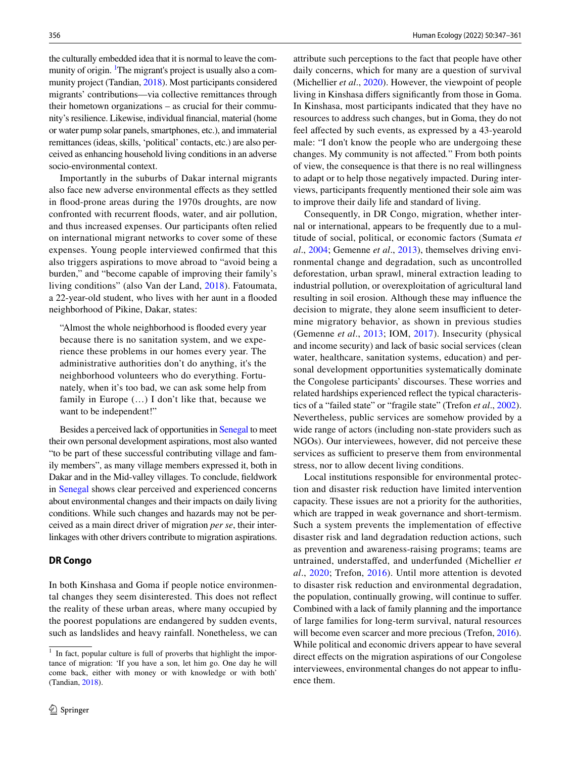the culturally embedded idea that it is normal to leave the community of origin. <sup>1</sup>The migrant's project is usually also a community project (Tandian, [2018](#page-13-28)). Most participants considered migrants' contributions—via collective remittances through their hometown organizations – as crucial for their community's resilience. Likewise, individual fnancial, material (home or water pump solar panels, smartphones, etc.), and immaterial remittances (ideas, skills, 'political' contacts, etc.) are also perceived as enhancing household living conditions in an adverse socio-environmental context.

Importantly in the suburbs of Dakar internal migrants also face new adverse environmental efects as they settled in food-prone areas during the 1970s droughts, are now confronted with recurrent foods, water, and air pollution, and thus increased expenses. Our participants often relied on international migrant networks to cover some of these expenses. Young people interviewed confrmed that this also triggers aspirations to move abroad to "avoid being a burden," and "become capable of improving their family's living conditions" (also Van der Land, [2018](#page-13-29)). Fatoumata, a 22-year-old student, who lives with her aunt in a fooded neighborhood of Pikine, Dakar, states:

"Almost the whole neighborhood is fooded every year because there is no sanitation system, and we experience these problems in our homes every year. The administrative authorities don't do anything, it's the neighborhood volunteers who do everything. Fortunately, when it's too bad, we can ask some help from family in Europe (…) I don't like that, because we want to be independent!"

Besides a perceived lack of opportunities in [Senegal](#page-6-0) to meet their own personal development aspirations, most also wanted "to be part of these successful contributing village and family members", as many village members expressed it, both in Dakar and in the Mid-valley villages. To conclude, feldwork in [Senegal](#page-6-0) shows clear perceived and experienced concerns about environmental changes and their impacts on daily living conditions. While such changes and hazards may not be perceived as a main direct driver of migration *per se*, their interlinkages with other drivers contribute to migration aspirations.

#### **DR Congo**

In both Kinshasa and Goma if people notice environmental changes they seem disinterested. This does not refect the reality of these urban areas, where many occupied by the poorest populations are endangered by sudden events, such as landslides and heavy rainfall. Nonetheless, we can

attribute such perceptions to the fact that people have other daily concerns, which for many are a question of survival (Michellier *et al*., [2020](#page-13-26)). However, the viewpoint of people living in Kinshasa difers signifcantly from those in Goma. In Kinshasa, most participants indicated that they have no resources to address such changes, but in Goma, they do not feel affected by such events, as expressed by a 43-yearold male: "I don't know the people who are undergoing these changes. My community is not afected*.*" From both points of view, the consequence is that there is no real willingness to adapt or to help those negatively impacted. During interviews, participants frequently mentioned their sole aim was to improve their daily life and standard of living.

Consequently, in DR Congo, migration, whether internal or international, appears to be frequently due to a multitude of social, political, or economic factors (Sumata *et al*., [2004](#page-13-30); Gemenne *et al*., [2013](#page-12-18)), themselves driving environmental change and degradation, such as uncontrolled deforestation, urban sprawl, mineral extraction leading to industrial pollution, or overexploitation of agricultural land resulting in soil erosion. Although these may infuence the decision to migrate, they alone seem insufficient to determine migratory behavior, as shown in previous studies (Gemenne *et al*., [2013;](#page-12-18) IOM, [2017](#page-13-24)). Insecurity (physical and income security) and lack of basic social services (clean water, healthcare, sanitation systems, education) and personal development opportunities systematically dominate the Congolese participants' discourses. These worries and related hardships experienced refect the typical characteristics of a "failed state" or "fragile state" (Trefon *et al*., [2002](#page-13-31)). Nevertheless, public services are somehow provided by a wide range of actors (including non-state providers such as NGOs). Our interviewees, however, did not perceive these services as sufficient to preserve them from environmental stress, nor to allow decent living conditions.

Local institutions responsible for environmental protection and disaster risk reduction have limited intervention capacity. These issues are not a priority for the authorities, which are trapped in weak governance and short-termism. Such a system prevents the implementation of efective disaster risk and land degradation reduction actions, such as prevention and awareness-raising programs; teams are untrained, understafed, and underfunded (Michellier *et al*., [2020;](#page-13-26) Trefon, [2016\)](#page-13-32). Until more attention is devoted to disaster risk reduction and environmental degradation, the population, continually growing, will continue to sufer. Combined with a lack of family planning and the importance of large families for long-term survival, natural resources will become even scarcer and more precious (Trefon, [2016](#page-13-32)). While political and economic drivers appear to have several direct effects on the migration aspirations of our Congolese interviewees, environmental changes do not appear to infuence them.

<span id="page-9-0"></span><sup>&</sup>lt;sup>1</sup> In fact, popular culture is full of proverbs that highlight the importance of migration: 'If you have a son, let him go. One day he will come back, either with money or with knowledge or with both' (Tandian, [2018\)](#page-13-28).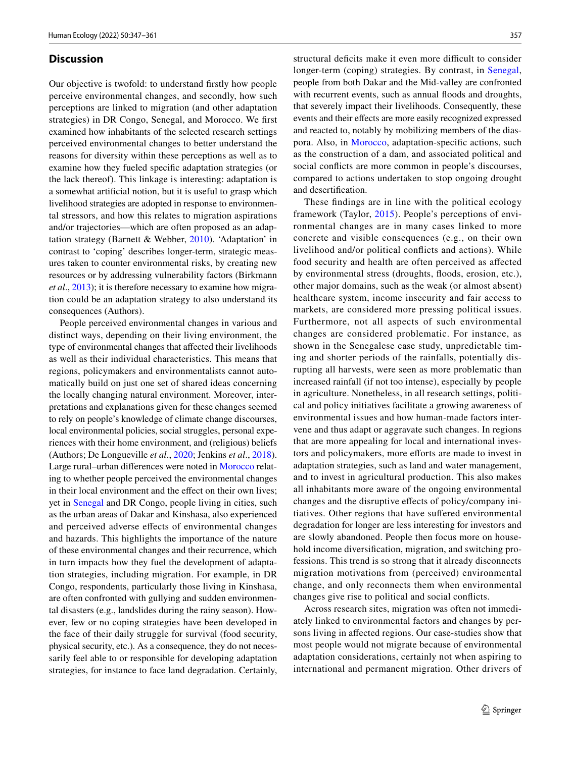#### **Discussion**

Our objective is twofold: to understand frstly how people perceive environmental changes, and secondly, how such perceptions are linked to migration (and other adaptation strategies) in DR Congo, Senegal, and Morocco. We frst examined how inhabitants of the selected research settings perceived environmental changes to better understand the reasons for diversity within these perceptions as well as to examine how they fueled specifc adaptation strategies (or the lack thereof). This linkage is interesting: adaptation is a somewhat artifcial notion, but it is useful to grasp which livelihood strategies are adopted in response to environmental stressors, and how this relates to migration aspirations and/or trajectories—which are often proposed as an adaptation strategy (Barnett & Webber, [2010](#page-12-20)). 'Adaptation' in contrast to 'coping' describes longer-term, strategic measures taken to counter environmental risks, by creating new resources or by addressing vulnerability factors (Birkmann *et al*., [2013\)](#page-12-21); it is therefore necessary to examine how migration could be an adaptation strategy to also understand its consequences (Authors).

People perceived environmental changes in various and distinct ways, depending on their living environment, the type of environmental changes that afected their livelihoods as well as their individual characteristics. This means that regions, policymakers and environmentalists cannot automatically build on just one set of shared ideas concerning the locally changing natural environment. Moreover, interpretations and explanations given for these changes seemed to rely on people's knowledge of climate change discourses, local environmental policies, social struggles, personal experiences with their home environment, and (religious) beliefs (Authors; De Longueville *et al*., [2020](#page-12-0); Jenkins *et al*., [2018](#page-13-6)). Large rural–urban diferences were noted in [Morocco](#page-5-0) relating to whether people perceived the environmental changes in their local environment and the effect on their own lives; yet in [Senegal](#page-6-0) and DR Congo, people living in cities, such as the urban areas of Dakar and Kinshasa, also experienced and perceived adverse efects of environmental changes and hazards. This highlights the importance of the nature of these environmental changes and their recurrence, which in turn impacts how they fuel the development of adaptation strategies, including migration. For example, in DR Congo, respondents, particularly those living in Kinshasa, are often confronted with gullying and sudden environmental disasters (e.g., landslides during the rainy season). However, few or no coping strategies have been developed in the face of their daily struggle for survival (food security, physical security, etc.). As a consequence, they do not necessarily feel able to or responsible for developing adaptation strategies, for instance to face land degradation. Certainly,

structural deficits make it even more difficult to consider longer-term (coping) strategies. By contrast, in [Senegal,](#page-6-0) people from both Dakar and the Mid-valley are confronted with recurrent events, such as annual floods and droughts, that severely impact their livelihoods. Consequently, these events and their efects are more easily recognized expressed and reacted to, notably by mobilizing members of the diaspora. Also, in [Morocco,](#page-5-0) adaptation-specifc actions, such as the construction of a dam, and associated political and social conficts are more common in people's discourses, compared to actions undertaken to stop ongoing drought and desertifcation.

These fndings are in line with the political ecology framework (Taylor, [2015\)](#page-13-33). People's perceptions of environmental changes are in many cases linked to more concrete and visible consequences (e.g., on their own livelihood and/or political conficts and actions). While food security and health are often perceived as afected by environmental stress (droughts, foods, erosion, etc.), other major domains, such as the weak (or almost absent) healthcare system, income insecurity and fair access to markets, are considered more pressing political issues. Furthermore, not all aspects of such environmental changes are considered problematic. For instance, as shown in the Senegalese case study, unpredictable timing and shorter periods of the rainfalls, potentially disrupting all harvests, were seen as more problematic than increased rainfall (if not too intense), especially by people in agriculture. Nonetheless, in all research settings, political and policy initiatives facilitate a growing awareness of environmental issues and how human-made factors intervene and thus adapt or aggravate such changes. In regions that are more appealing for local and international investors and policymakers, more efforts are made to invest in adaptation strategies, such as land and water management, and to invest in agricultural production. This also makes all inhabitants more aware of the ongoing environmental changes and the disruptive efects of policy/company initiatives. Other regions that have sufered environmental degradation for longer are less interesting for investors and are slowly abandoned. People then focus more on household income diversification, migration, and switching professions. This trend is so strong that it already disconnects migration motivations from (perceived) environmental change, and only reconnects them when environmental changes give rise to political and social conficts.

Across research sites, migration was often not immediately linked to environmental factors and changes by persons living in afected regions. Our case-studies show that most people would not migrate because of environmental adaptation considerations, certainly not when aspiring to international and permanent migration. Other drivers of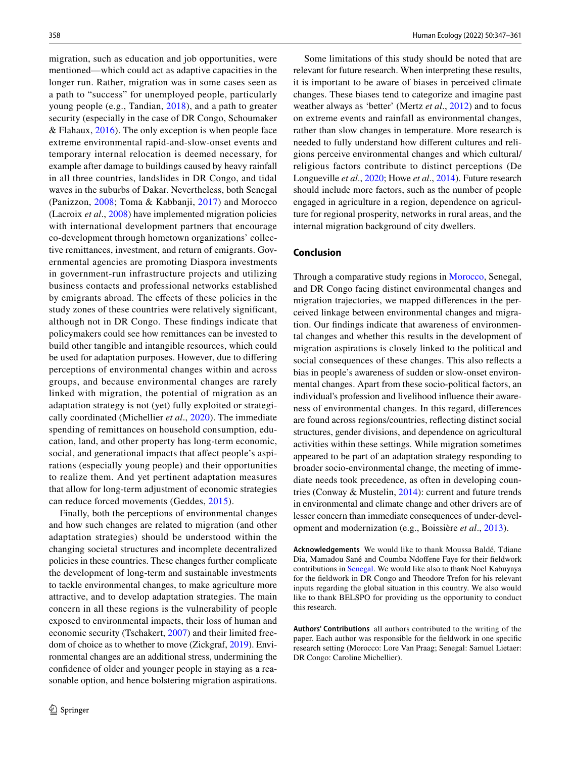migration, such as education and job opportunities, were mentioned—which could act as adaptive capacities in the longer run. Rather, migration was in some cases seen as a path to "success" for unemployed people, particularly young people (e.g., Tandian, [2018](#page-13-28)), and a path to greater security (especially in the case of DR Congo, Schoumaker & Flahaux,  $2016$ ). The only exception is when people face extreme environmental rapid-and-slow-onset events and temporary internal relocation is deemed necessary, for example after damage to buildings caused by heavy rainfall in all three countries, landslides in DR Congo, and tidal waves in the suburbs of Dakar. Nevertheless, both Senegal (Panizzon, [2008](#page-13-35); Toma & Kabbanji, [2017](#page-13-36)) and Morocco (Lacroix *et al*., [2008\)](#page-13-37) have implemented migration policies with international development partners that encourage co-development through hometown organizations' collective remittances, investment, and return of emigrants. Governmental agencies are promoting Diaspora investments in government-run infrastructure projects and utilizing business contacts and professional networks established by emigrants abroad. The efects of these policies in the study zones of these countries were relatively signifcant, although not in DR Congo. These fndings indicate that policymakers could see how remittances can be invested to build other tangible and intangible resources, which could be used for adaptation purposes. However, due to difering perceptions of environmental changes within and across groups, and because environmental changes are rarely linked with migration, the potential of migration as an adaptation strategy is not (yet) fully exploited or strategically coordinated (Michellier *et al*., [2020](#page-13-26)). The immediate spending of remittances on household consumption, education, land, and other property has long-term economic, social, and generational impacts that affect people's aspirations (especially young people) and their opportunities to realize them. And yet pertinent adaptation measures that allow for long-term adjustment of economic strategies can reduce forced movements (Geddes, [2015](#page-12-22)).

Finally, both the perceptions of environmental changes and how such changes are related to migration (and other adaptation strategies) should be understood within the changing societal structures and incomplete decentralized policies in these countries. These changes further complicate the development of long-term and sustainable investments to tackle environmental changes, to make agriculture more attractive, and to develop adaptation strategies. The main concern in all these regions is the vulnerability of people exposed to environmental impacts, their loss of human and economic security (Tschakert, [2007](#page-13-38)) and their limited freedom of choice as to whether to move (Zickgraf, [2019](#page-14-5)). Environmental changes are an additional stress, undermining the confdence of older and younger people in staying as a reasonable option, and hence bolstering migration aspirations.

Some limitations of this study should be noted that are relevant for future research. When interpreting these results, it is important to be aware of biases in perceived climate changes. These biases tend to categorize and imagine past weather always as 'better' (Mertz *et al*., [2012](#page-13-18)) and to focus on extreme events and rainfall as environmental changes, rather than slow changes in temperature. More research is needed to fully understand how diferent cultures and religions perceive environmental changes and which cultural/ religious factors contribute to distinct perceptions (De Longueville *et al*., [2020](#page-12-0); Howe *et al*., [2014](#page-13-2)). Future research should include more factors, such as the number of people engaged in agriculture in a region, dependence on agriculture for regional prosperity, networks in rural areas, and the internal migration background of city dwellers.

# **Conclusion**

Through a comparative study regions in [Morocco,](#page-5-0) Senegal, and DR Congo facing distinct environmental changes and migration trajectories, we mapped diferences in the perceived linkage between environmental changes and migration. Our fndings indicate that awareness of environmental changes and whether this results in the development of migration aspirations is closely linked to the political and social consequences of these changes. This also refects a bias in people's awareness of sudden or slow-onset environmental changes. Apart from these socio-political factors, an individual's profession and livelihood infuence their awareness of environmental changes. In this regard, diferences are found across regions/countries, refecting distinct social structures, gender divisions, and dependence on agricultural activities within these settings. While migration sometimes appeared to be part of an adaptation strategy responding to broader socio-environmental change, the meeting of immediate needs took precedence, as often in developing countries (Conway & Mustelin, [2014](#page-12-23)): current and future trends in environmental and climate change and other drivers are of lesser concern than immediate consequences of under-development and modernization (e.g., Boissière *et al*., [2013](#page-12-24)).

**Acknowledgements** We would like to thank Moussa Baldé, Tdiane Dia, Mamadou Sané and Coumba Ndofene Faye for their feldwork contributions in [Senegal.](#page-6-0) We would like also to thank Noel Kabuyaya for the feldwork in DR Congo and Theodore Trefon for his relevant inputs regarding the global situation in this country. We also would like to thank BELSPO for providing us the opportunity to conduct this research.

**Authors' Contributions** all authors contributed to the writing of the paper. Each author was responsible for the feldwork in one specifc research setting (Morocco: Lore Van Praag; Senegal: Samuel Lietaer: DR Congo: Caroline Michellier).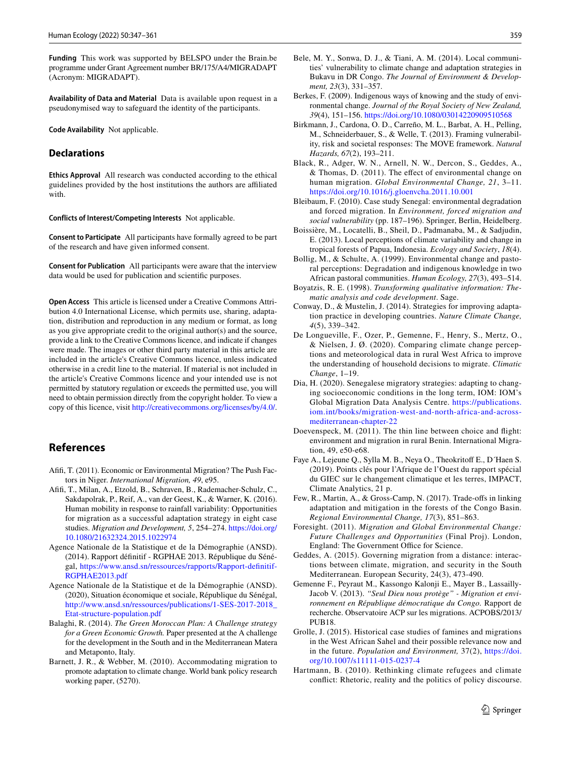**Funding** This work was supported by BELSPO under the Brain.be programme under Grant Agreement number BR/175/A4/MIGRADAPT (Acronym: MIGRADAPT).

**Availability of Data and Material** Data is available upon request in a pseudonymised way to safeguard the identity of the participants.

**Code Availability** Not applicable.

# **Declarations**

**Ethics Approval** All research was conducted according to the ethical guidelines provided by the host institutions the authors are afliated with.

**Conflicts of Interest/Competing Interests** Not applicable.

**Consent to Participate** All participants have formally agreed to be part of the research and have given informed consent.

**Consent for Publication** All participants were aware that the interview data would be used for publication and scientifc purposes.

**Open Access** This article is licensed under a Creative Commons Attribution 4.0 International License, which permits use, sharing, adaptation, distribution and reproduction in any medium or format, as long as you give appropriate credit to the original author(s) and the source, provide a link to the Creative Commons licence, and indicate if changes were made. The images or other third party material in this article are included in the article's Creative Commons licence, unless indicated otherwise in a credit line to the material. If material is not included in the article's Creative Commons licence and your intended use is not permitted by statutory regulation or exceeds the permitted use, you will need to obtain permission directly from the copyright holder. To view a copy of this licence, visit <http://creativecommons.org/licenses/by/4.0/>.

### **References**

- <span id="page-12-8"></span>Afifi, T. (2011). Economic or Environmental Migration? The Push Factors in Niger. *International Migration, 49*, e95.
- <span id="page-12-1"></span>Afifi, T., Milan, A., Etzold, B., Schraven, B., Rademacher-Schulz, C., Sakdapolrak, P., Reif, A., van der Geest, K., & Warner, K. (2016). Human mobility in response to rainfall variability: Opportunities for migration as a successful adaptation strategy in eight case studies. *Migration and Development, 5*, 254–274. [https://doi.org/](https://doi.org/10.1080/21632324.2015.1022974) [10.1080/21632324.2015.1022974](https://doi.org/10.1080/21632324.2015.1022974)
- <span id="page-12-11"></span>Agence Nationale de la Statistique et de la Démographie (ANSD). (2014). Rapport défnitif - RGPHAE 2013. République du Sénégal, [https://www.ansd.sn/ressources/rapports/Rapport-defnitif-](https://www.ansd.sn/ressources/rapports/Rapport-definitif-RGPHAE2013.pdf)[RGPHAE2013.pdf](https://www.ansd.sn/ressources/rapports/Rapport-definitif-RGPHAE2013.pdf)
- <span id="page-12-12"></span>Agence Nationale de la Statistique et de la Démographie (ANSD). (2020), Situation économique et sociale, République du Sénégal, [http://www.ansd.sn/ressources/publications/1-SES-2017-2018\\_](http://www.ansd.sn/ressources/publications/1-SES-2017-2018_Etat-structure-population.pdf) [Etat-structure-population.pdf](http://www.ansd.sn/ressources/publications/1-SES-2017-2018_Etat-structure-population.pdf)
- <span id="page-12-10"></span>Balaghi, R. (2014). *The Green Moroccan Plan: A Challenge strategy for a Green Economic Growth.* Paper presented at the A challenge for the development in the South and in the Mediterranean Matera and Metaponto, Italy.
- <span id="page-12-20"></span>Barnett, J. R., & Webber, M. (2010). Accommodating migration to promote adaptation to climate change. World bank policy research working paper, (5270).
- <span id="page-12-5"></span>Bele, M. Y., Sonwa, D. J., & Tiani, A. M. (2014). Local communities' vulnerability to climate change and adaptation strategies in Bukavu in DR Congo. *The Journal of Environment & Development, 23*(3), 331–357.
- <span id="page-12-7"></span>Berkes, F. (2009). Indigenous ways of knowing and the study of environmental change. *Journal of the Royal Society of New Zealand, 39*(4), 151–156.<https://doi.org/10.1080/03014220909510568>
- <span id="page-12-21"></span>Birkmann, J., Cardona, O. D., Carreño, M. L., Barbat, A. H., Pelling, M., Schneiderbauer, S., & Welle, T. (2013). Framing vulnerability, risk and societal responses: The MOVE framework. *Natural Hazards, 67*(2), 193–211.
- <span id="page-12-9"></span>Black, R., Adger, W. N., Arnell, N. W., Dercon, S., Geddes, A., & Thomas, D. (2011). The efect of environmental change on human migration. *Global Environmental Change, 21*, 3–11. <https://doi.org/10.1016/j.gloenvcha.2011.10.001>
- <span id="page-12-17"></span>Bleibaum, F. (2010). Case study Senegal: environmental degradation and forced migration. In *Environment, forced migration and social vulnerability* (pp. 187–196). Springer, Berlin, Heidelberg.
- <span id="page-12-24"></span>Boissière, M., Locatelli, B., Sheil, D., Padmanaba, M., & Sadjudin, E. (2013). Local perceptions of climate variability and change in tropical forests of Papua, Indonesia. *Ecology and Society*, *18*(4).
- <span id="page-12-6"></span>Bollig, M., & Schulte, A. (1999). Environmental change and pastoral perceptions: Degradation and indigenous knowledge in two African pastoral communities. *Human Ecology, 27*(3), 493–514.
- <span id="page-12-13"></span>Boyatzis, R. E. (1998). *Transforming qualitative information: Thematic analysis and code development*. Sage.
- <span id="page-12-23"></span>Conway, D., & Mustelin, J. (2014). Strategies for improving adaptation practice in developing countries. *Nature Climate Change, 4*(5), 339–342.
- <span id="page-12-0"></span>De Longueville, F., Ozer, P., Gemenne, F., Henry, S., Mertz, O., & Nielsen, J. Ø. (2020). Comparing climate change perceptions and meteorological data in rural West Africa to improve the understanding of household decisions to migrate. *Climatic Change*, 1–19.
- <span id="page-12-15"></span>Dia, H. (2020). Senegalese migratory strategies: adapting to changing socioeconomic conditions in the long term, IOM: IOM's Global Migration Data Analysis Centre. [https://publications.](https://publications.iom.int/books/migration-west-and-north-africa-and-across-mediterranean-chapter-22) [iom.int/books/migration-west-and-north-africa-and-across](https://publications.iom.int/books/migration-west-and-north-africa-and-across-mediterranean-chapter-22)[mediterranean-chapter-22](https://publications.iom.int/books/migration-west-and-north-africa-and-across-mediterranean-chapter-22)
- <span id="page-12-19"></span>Doevenspeck, M. (2011). The thin line between choice and fight: environment and migration in rural Benin. International Migration, 49, e50-e68.
- <span id="page-12-14"></span>Faye A., Lejeune Q., Sylla M. B., Neya O., Theokritof E., D´Haen S. (2019). Points clés pour l'Afrique de l'Ouest du rapport spécial du GIEC sur le changement climatique et les terres, IMPACT, Climate Analytics, 21 p.
- <span id="page-12-3"></span>Few, R., Martin, A., & Gross-Camp, N. (2017). Trade-ofs in linking adaptation and mitigation in the forests of the Congo Basin. *Regional Environmental Change, 17*(3), 851–863.
- <span id="page-12-2"></span>Foresight. (2011). *Migration and Global Environmental Change: Future Challenges and Opportunities* (Final Proj). London, England: The Government Office for Science.
- <span id="page-12-22"></span>Geddes, A. (2015). Governing migration from a distance: interactions between climate, migration, and security in the South Mediterranean. European Security, 24(3), 473-490.
- <span id="page-12-18"></span>Gemenne F., Peyraut M., Kassongo Kalonji E., Mayer B., Lassailly-Jacob V. (2013). *"Seul Dieu nous protège" - Migration et environnement en République démocratique du Congo.* Rapport de recherche. Observatoire ACP sur les migrations. ACPOBS/2013/ PUB18.
- <span id="page-12-16"></span>Grolle, J. (2015). Historical case studies of famines and migrations in the West African Sahel and their possible relevance now and in the future. *Population and Environment,* 37(2), [https://doi.](https://doi.org/10.1007/s11111-015-0237-4) [org/10.1007/s11111-015-0237-4](https://doi.org/10.1007/s11111-015-0237-4)
- <span id="page-12-4"></span>Hartmann, B. (2010). Rethinking climate refugees and climate confict: Rhetoric, reality and the politics of policy discourse.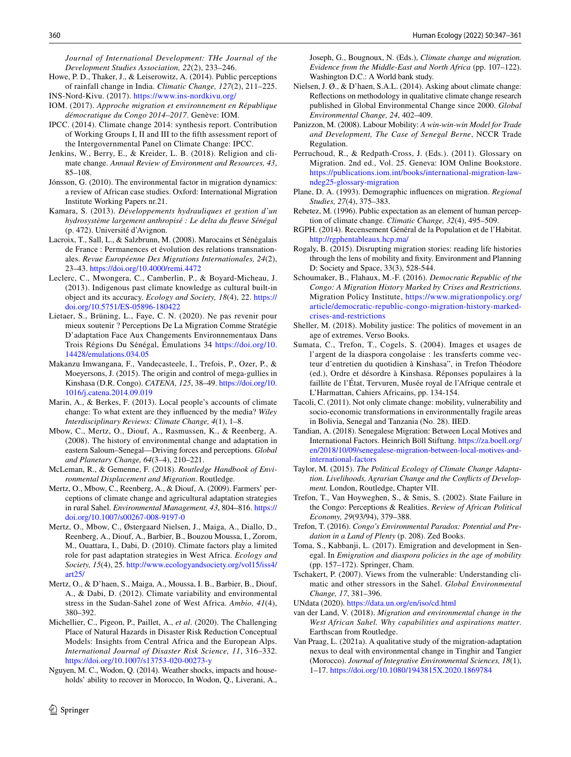*Journal of International Development: THe Journal of the Development Studies Association, 22*(2), 233–246.

- <span id="page-13-2"></span>Howe, P. D., Thaker, J., & Leiserowitz, A. (2014). Public perceptions of rainfall change in India. *Climatic Change, 127*(2), 211–225.
- <span id="page-13-21"></span>INS-Nord-Kivu. (2017).<https://www.ins-nordkivu.org/>
- <span id="page-13-24"></span>IOM. (2017). *Approche migration et environnement en République démocratique du Congo 2014–2017*. Genève: IOM.
- <span id="page-13-11"></span>IPCC. (2014). Climate change 2014: synthesis report. Contribution of Working Groups I, II and III to the ffth assessment report of the Intergovernmental Panel on Climate Change: IPCC.
- <span id="page-13-6"></span>Jenkins, W., Berry, E., & Kreider, L. B. (2018). Religion and climate change. *Annual Review of Environment and Resources, 43*, 85–108.
- <span id="page-13-8"></span>Jónsson, G. (2010). The environmental factor in migration dynamics: a review of African case studies. Oxford: International Migration Institute Working Papers nr.21.
- <span id="page-13-23"></span>Kamara, S. (2013). *Développements hydrauliques et gestion d'un hydrosystème largement anthropisé : Le delta du feuve Sénégal* (p. 472). Université d'Avignon.
- <span id="page-13-37"></span>Lacroix, T., Sall, L., & Salzbrunn, M. (2008). Marocains et Sénégalais de France : Permanences et évolution des relations transnationales. *Revue Européenne Des Migrations Internationales, 24*(2), 23–43. <https://doi.org/10.4000/remi.4472>
- <span id="page-13-17"></span>Leclerc, C., Mwongera, C., Camberlin, P., & Boyard-Micheau, J. (2013). Indigenous past climate knowledge as cultural built-in object and its accuracy. *Ecology and Society, 18*(4), 22. [https://](https://doi.org/10.5751/ES-05896-180422) [doi.org/10.5751/ES-05896-180422](https://doi.org/10.5751/ES-05896-180422)
- <span id="page-13-22"></span>Lietaer, S., Brüning, L., Faye, C. N. (2020). Ne pas revenir pour mieux soutenir ? Perceptions De La Migration Comme Stratégie D'adaptation Face Aux Changements Environnementaux Dans Trois Régions Du Sénégal, Émulations 34 [https://doi.org/10.](https://doi.org/10.14428/emulations.034.05) [14428/emulations.034.05](https://doi.org/10.14428/emulations.034.05)
- <span id="page-13-25"></span>Makanzu Imwangana, F., Vandecasteele, I., Trefois, P., Ozer, P., & Moeyersons, J. (2015). The origin and control of mega-gullies in Kinshasa (D.R. Congo). *CATENA, 125*, 38–49. [https://doi.org/10.](https://doi.org/10.1016/j.catena.2014.09.019) [1016/j.catena.2014.09.019](https://doi.org/10.1016/j.catena.2014.09.019)
- <span id="page-13-14"></span>Marin, A., & Berkes, F. (2013). Local people's accounts of climate change: To what extent are they infuenced by the media? *Wiley Interdisciplinary Reviews: Climate Change, 4*(1), 1–8.
- <span id="page-13-12"></span>Mbow, C., Mertz, O., Diouf, A., Rasmussen, K., & Reenberg, A. (2008). The history of environmental change and adaptation in eastern Saloum–Senegal—Driving forces and perceptions. *Global and Planetary Change, 64*(3–4), 210–221.
- <span id="page-13-0"></span>McLeman, R., & Gemenne, F. (2018). *Routledge Handbook of Environmental Displacement and Migration*. Routledge.
- <span id="page-13-16"></span>Mertz, O., Mbow, C., Reenberg, A., & Diouf, A. (2009). Farmers' perceptions of climate change and agricultural adaptation strategies in rural Sahel. *Environmental Management, 43*, 804–816. [https://](https://doi.org/10.1007/s00267-008-9197-0) [doi.org/10.1007/s00267-008-9197-0](https://doi.org/10.1007/s00267-008-9197-0)
- <span id="page-13-13"></span>Mertz, O., Mbow, C., Østergaard Nielsen, J., Maiga, A., Diallo, D., Reenberg, A., Diouf, A., Barbier, B., Bouzou Moussa, I., Zorom, M., Ouattara, I., Dabi, D. (2010). Climate factors play a limited role for past adaptation strategies in West Africa. *Ecology and Society, 15*(4), 25. [http://www.ecologyandsociety.org/vol15/iss4/](http://www.ecologyandsociety.org/vol15/iss4/art25/) [art25/](http://www.ecologyandsociety.org/vol15/iss4/art25/)
- <span id="page-13-18"></span>Mertz, O., & D'haen, S., Maiga, A., Moussa, I. B., Barbier, B., Diouf, A., & Dabi, D. (2012). Climate variability and environmental stress in the Sudan-Sahel zone of West Africa. *Ambio, 41*(4), 380–392.
- <span id="page-13-26"></span>Michellier, C., Pigeon, P., Paillet, A., *et al*. (2020). The Challenging Place of Natural Hazards in Disaster Risk Reduction Conceptual Models: Insights from Central Africa and the European Alps. *International Journal of Disaster Risk Science, 11*, 316–332. <https://doi.org/10.1007/s13753-020-00273-y>
- <span id="page-13-4"></span>Nguyen, M. C., Wodon, Q. (2014). Weather shocks, impacts and households' ability to recover in Morocco, In Wodon, Q., Liverani, A.,

Joseph, G., Bougnoux, N. (Eds.), *Climate change and migration. Evidence from the Middle-East and North Africa* (pp. 107–122). Washington D.C.: A World bank study.

- <span id="page-13-1"></span>Nielsen, J. Ø., & D'haen, S.A.L. (2014). Asking about climate change: Refections on methodology in qualitative climate change research published in Global Environmental Change since 2000. *Global Environmental Change, 24*, 402–409.
- <span id="page-13-35"></span>Panizzon, M. (2008). Labour Mobility: *A win-win-win Model for Trade and Development, The Case of Senegal Berne*, NCCR Trade Regulation.
- <span id="page-13-5"></span>Perruchoud, R., & Redpath-Cross, J. (Eds.). (2011). Glossary on Migration. 2nd ed., Vol. 25. Geneva: IOM Online Bookstore. [https://publications.iom.int/books/international-migration-law](https://publications.iom.int/books/international-migration-law-ndeg25-glossary-migration)[ndeg25-glossary-migration](https://publications.iom.int/books/international-migration-law-ndeg25-glossary-migration)
- <span id="page-13-15"></span>Plane, D. A. (1993). Demographic infuences on migration. *Regional Studies, 27*(4), 375–383.
- <span id="page-13-3"></span>Rebetez, M. (1996). Public expectation as an element of human perception of climate change. *Climatic Change, 32*(4), 495–509.
- <span id="page-13-19"></span>RGPH. (2014). Recensement Général de la Population et de l'Habitat. <http://rgphentableaux.hcp.ma/>
- <span id="page-13-10"></span>Rogaly, B. (2015). Disrupting migration stories: reading life histories through the lens of mobility and fxity. Environment and Planning D: Society and Space, 33(3), 528-544.
- <span id="page-13-34"></span>Schoumaker, B., Flahaux, M.-F. (2016). *Democratic Republic of the Congo: A Migration History Marked by Crises and Restrictions.* Migration Policy Institute, [https://www.migrationpolicy.org/](https://www.migrationpolicy.org/article/democratic-republic-congo-migration-history-marked-crises-and-restrictions) [article/democratic-republic-congo-migration-history-marked](https://www.migrationpolicy.org/article/democratic-republic-congo-migration-history-marked-crises-and-restrictions)[crises-and-restrictions](https://www.migrationpolicy.org/article/democratic-republic-congo-migration-history-marked-crises-and-restrictions)
- <span id="page-13-9"></span>Sheller, M. (2018). Mobility justice: The politics of movement in an age of extremes. Verso Books.
- <span id="page-13-30"></span>Sumata, C., Trefon, T., Cogels, S. (2004). Images et usages de l'argent de la diaspora congolaise : les transferts comme vecteur d'entretien du quotidien à Kinshasa", in Trefon Théodore (ed.), Ordre et désordre à Kinshasa. Réponses populaires à la faillite de l'État, Tervuren, Musée royal de l'Afrique centrale et L'Harmattan, Cahiers Africains, pp. 134-154.
- <span id="page-13-27"></span>Tacoli, C. (2011). Not only climate change: mobility, vulnerability and socio-economic transformations in environmentally fragile areas in Bolivia, Senegal and Tanzania (No. 28). IIED.
- <span id="page-13-28"></span>Tandian, A. (2018). Senegalese Migration: Between Local Motives and International Factors. Heinrich Böll Stiftung. [https://za.boell.org/](https://za.boell.org/en/2018/10/09/senegalese-migration-between-local-motives-and-international-factors) [en/2018/10/09/senegalese-migration-between-local-motives-and](https://za.boell.org/en/2018/10/09/senegalese-migration-between-local-motives-and-international-factors)[international-factors](https://za.boell.org/en/2018/10/09/senegalese-migration-between-local-motives-and-international-factors)
- <span id="page-13-33"></span>Taylor, M. (2015). *The Political Ecology of Climate Change Adaptation. Livelihoods, Agrarian Change and the Conficts of Development.* London, Routledge, Chapter VII.
- <span id="page-13-31"></span>Trefon, T., Van Hoyweghen, S., & Smis, S. (2002). State Failure in the Congo: Perceptions & Realities. *Review of African Political Economy, 29*(93/94), 379–388.
- <span id="page-13-32"></span>Trefon, T. (2016). *Congo's Environmental Paradox: Potential and Predation in a Land of Plenty* (p. 208). Zed Books.
- <span id="page-13-36"></span>Toma, S., Kabbanji, L. (2017). Emigration and development in Senegal. In *Emigration and diaspora policies in the age of mobility* (pp. 157–172). Springer, Cham.
- <span id="page-13-38"></span>Tschakert, P. (2007). Views from the vulnerable: Understanding climatic and other stressors in the Sahel. *Global Environmental Change, 17*, 381–396.

<span id="page-13-20"></span>UNdata (2020).<https://data.un.org/en/iso/cd.html>

- <span id="page-13-29"></span>van der Land, V. (2018). *Migration and environmental change in the West African Sahel. Why capabilities and aspirations matter*. Earthscan from Routledge.
- <span id="page-13-7"></span>Van Praag, L. (2021a). A qualitative study of the migration-adaptation nexus to deal with environmental change in Tinghir and Tangier (Morocco). *Journal of Integrative Environmental Sciences, 18*(1), 1–17. <https://doi.org/10.1080/1943815X.2020.1869784>